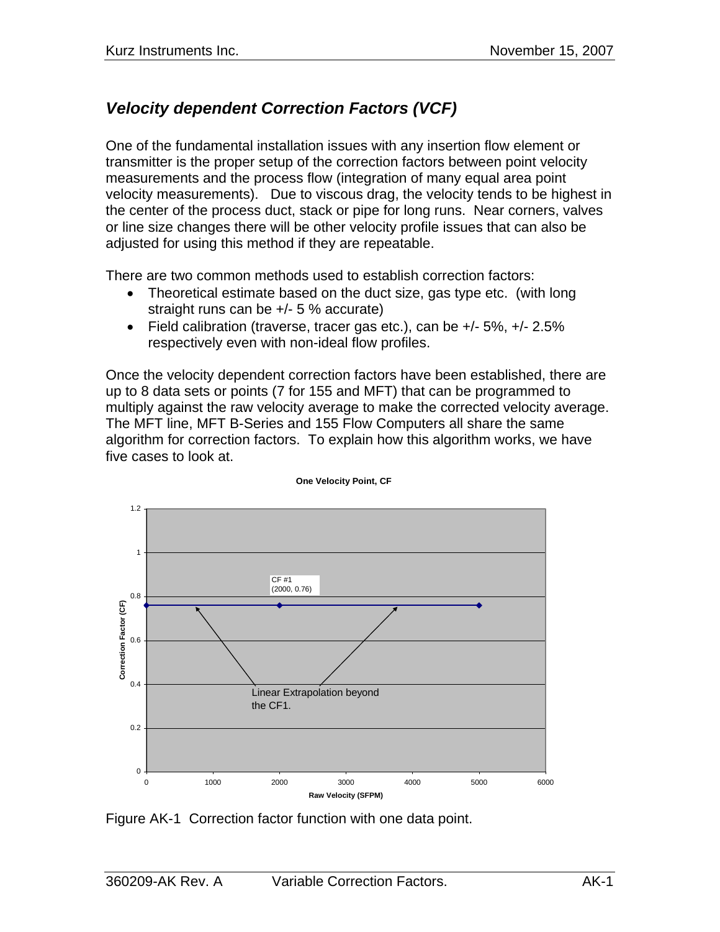# *Velocity dependent Correction Factors (VCF)*

One of the fundamental installation issues with any insertion flow element or transmitter is the proper setup of the correction factors between point velocity measurements and the process flow (integration of many equal area point velocity measurements). Due to viscous drag, the velocity tends to be highest in the center of the process duct, stack or pipe for long runs. Near corners, valves or line size changes there will be other velocity profile issues that can also be adjusted for using this method if they are repeatable.

There are two common methods used to establish correction factors:

- Theoretical estimate based on the duct size, gas type etc. (with long straight runs can be +/- 5 % accurate)
- Field calibration (traverse, tracer gas etc.), can be  $+/-5\%$ ,  $+/-2.5\%$ respectively even with non-ideal flow profiles.

Once the velocity dependent correction factors have been established, there are up to 8 data sets or points (7 for 155 and MFT) that can be programmed to multiply against the raw velocity average to make the corrected velocity average. The MFT line, MFT B-Series and 155 Flow Computers all share the same algorithm for correction factors. To explain how this algorithm works, we have five cases to look at.



**One Velocity Point, CF**

Figure AK-1 Correction factor function with one data point.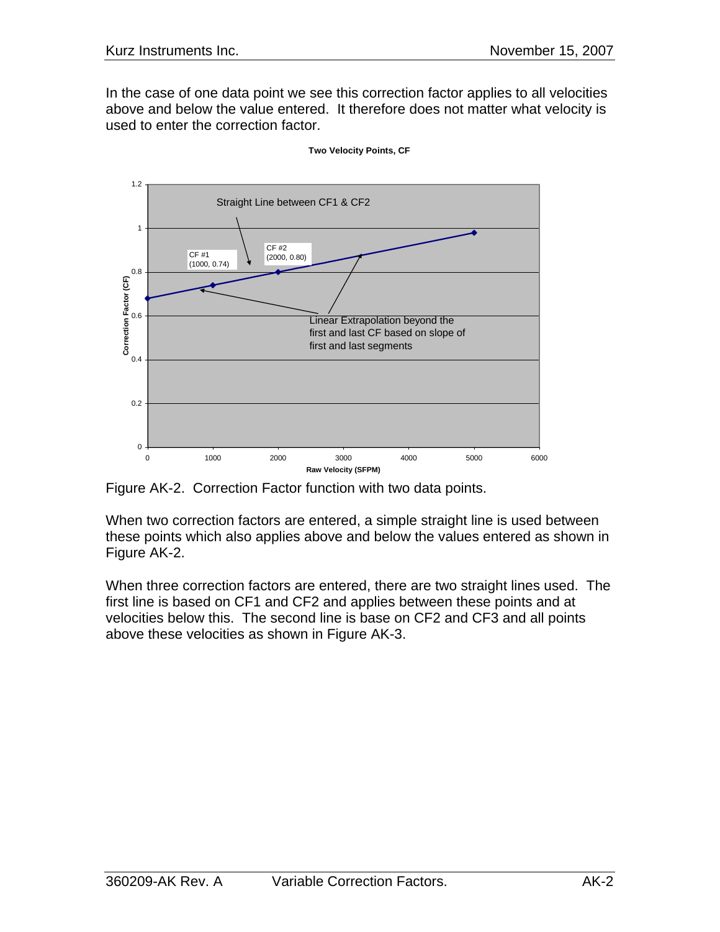In the case of one data point we see this correction factor applies to all velocities above and below the value entered. It therefore does not matter what velocity is used to enter the correction factor.



**Two Velocity Points, CF**

Figure AK-2. Correction Factor function with two data points.

When two correction factors are entered, a simple straight line is used between these points which also applies above and below the values entered as shown in Figure AK-2.

When three correction factors are entered, there are two straight lines used. The first line is based on CF1 and CF2 and applies between these points and at velocities below this. The second line is base on CF2 and CF3 and all points above these velocities as shown in Figure AK-3.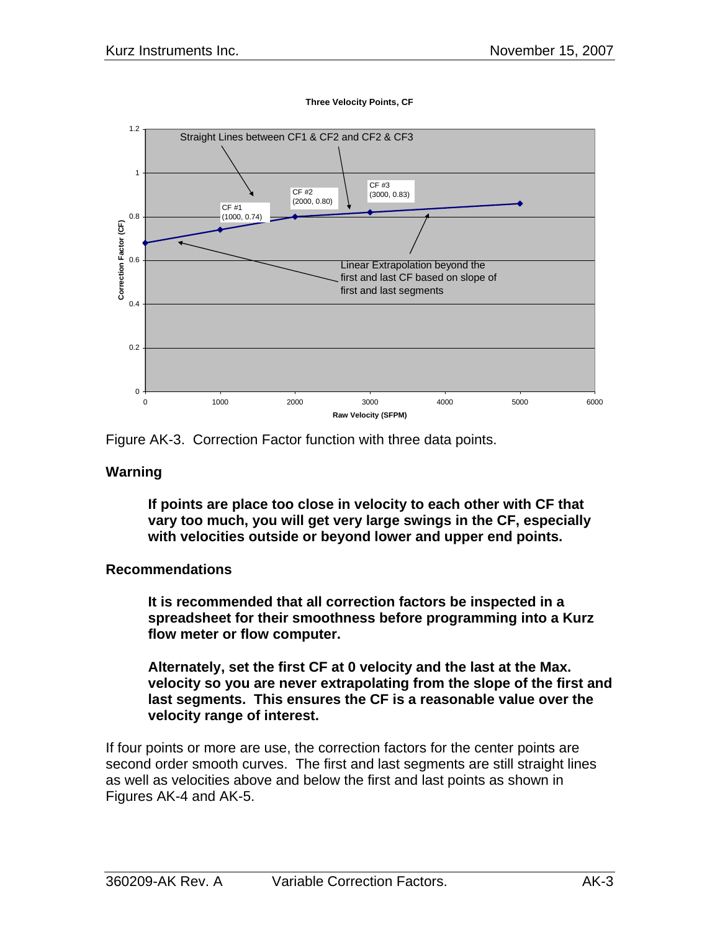

**Three Velocity Points, CF**



#### **Warning**

**If points are place too close in velocity to each other with CF that vary too much, you will get very large swings in the CF, especially with velocities outside or beyond lower and upper end points.** 

### **Recommendations**

**It is recommended that all correction factors be inspected in a spreadsheet for their smoothness before programming into a Kurz flow meter or flow computer.** 

**Alternately, set the first CF at 0 velocity and the last at the Max. velocity so you are never extrapolating from the slope of the first and last segments. This ensures the CF is a reasonable value over the velocity range of interest.** 

If four points or more are use, the correction factors for the center points are second order smooth curves. The first and last segments are still straight lines as well as velocities above and below the first and last points as shown in Figures AK-4 and AK-5.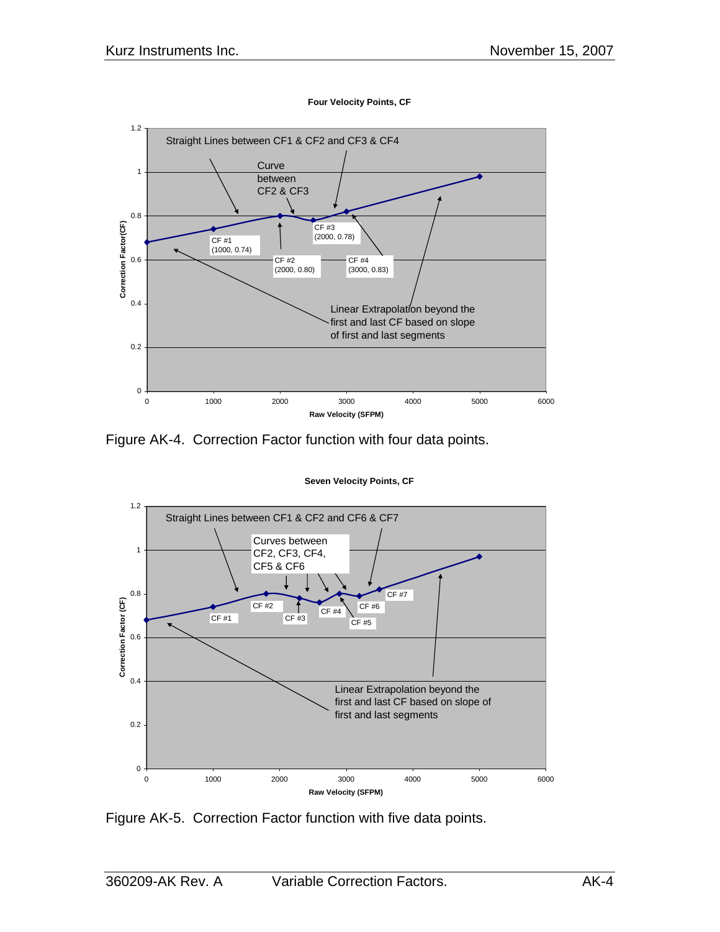

**Four Velocity Points, CF**

Figure AK-4. Correction Factor function with four data points.

**Seven Velocity Points, CF**



Figure AK-5. Correction Factor function with five data points.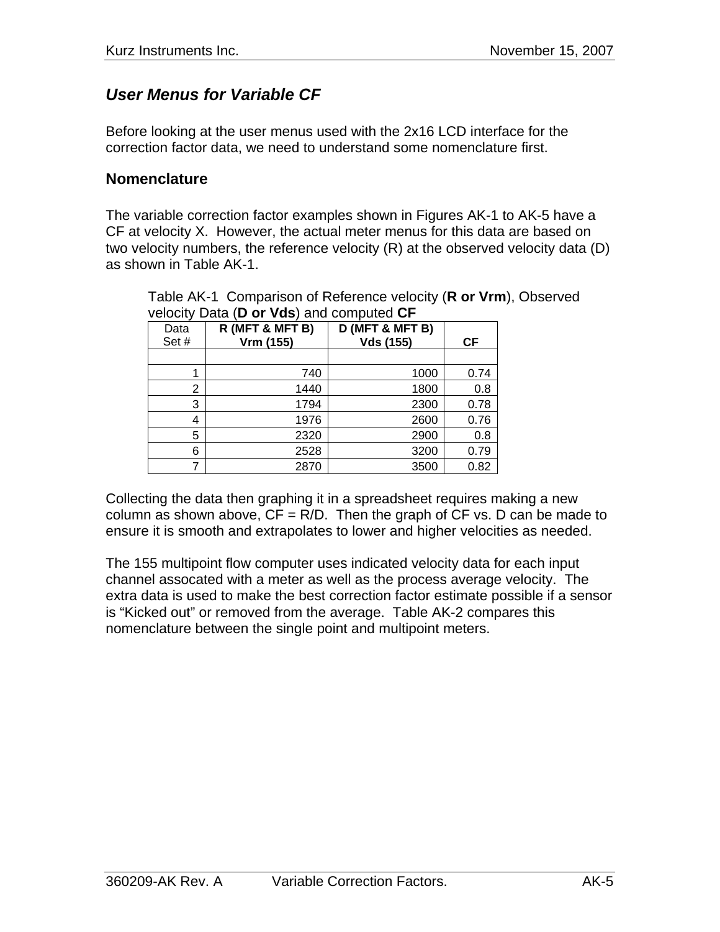## *User Menus for Variable CF*

Before looking at the user menus used with the 2x16 LCD interface for the correction factor data, we need to understand some nomenclature first.

### **Nomenclature**

The variable correction factor examples shown in Figures AK-1 to AK-5 have a CF at velocity X. However, the actual meter menus for this data are based on two velocity numbers, the reference velocity (R) at the observed velocity data (D) as shown in Table AK-1.

| velocity Data ( <b>D</b> or vas) and compated or |                 |                  |      |  |  |
|--------------------------------------------------|-----------------|------------------|------|--|--|
| Data                                             | R (MFT & MFT B) | D (MFT & MFT B)  |      |  |  |
| Set#                                             | Vrm (155)       | <b>Vds (155)</b> | СF   |  |  |
|                                                  |                 |                  |      |  |  |
|                                                  | 740             | 1000             | 0.74 |  |  |
| 2                                                | 1440            | 1800             | 0.8  |  |  |
| 3                                                | 1794            | 2300             | 0.78 |  |  |
| 4                                                | 1976            | 2600             | 0.76 |  |  |
| 5                                                | 2320            | 2900             | 0.8  |  |  |
| 6                                                | 2528            | 3200             | 0.79 |  |  |
|                                                  | 2870            | 3500             | 0.82 |  |  |

Table AK-1 Comparison of Reference velocity (**R or Vrm**), Observed velocity Data (**D or Vds**) and computed **CF**

Collecting the data then graphing it in a spreadsheet requires making a new column as shown above,  $CF = R/D$ . Then the graph of  $CF$  vs. D can be made to ensure it is smooth and extrapolates to lower and higher velocities as needed.

The 155 multipoint flow computer uses indicated velocity data for each input channel assocated with a meter as well as the process average velocity. The extra data is used to make the best correction factor estimate possible if a sensor is "Kicked out" or removed from the average. Table AK-2 compares this nomenclature between the single point and multipoint meters.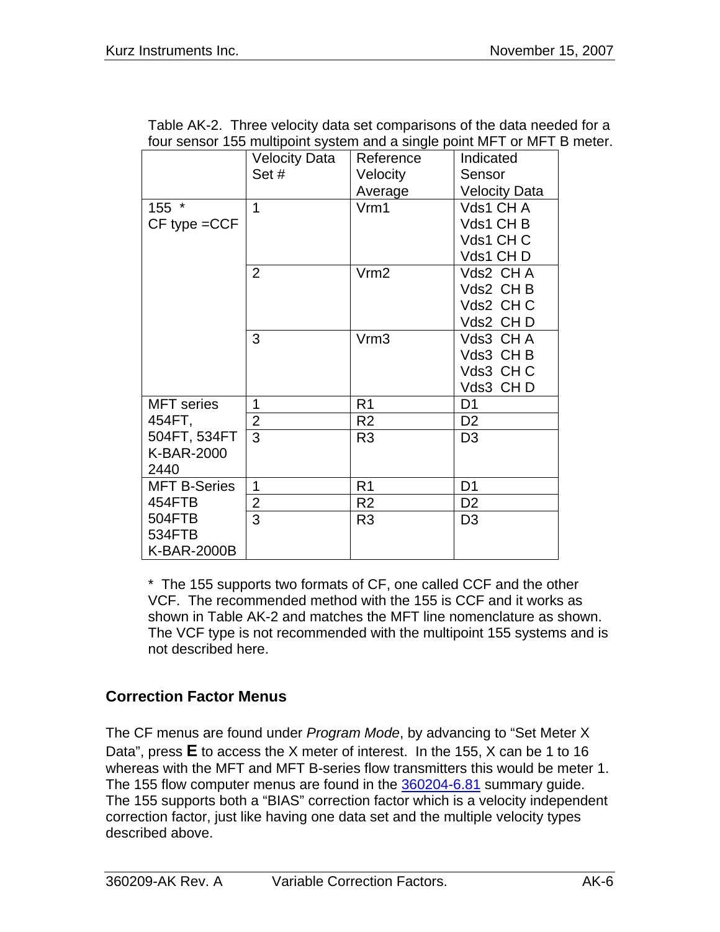| Table AK-2. Three velocity data set comparisons of the data needed for a |
|--------------------------------------------------------------------------|
| four sensor 155 multipoint system and a single point MFT or MFT B meter. |

|                     | <b>Velocity Data</b> | Reference        | Indicated            |
|---------------------|----------------------|------------------|----------------------|
|                     | Set#                 | Velocity         | Sensor               |
|                     |                      | Average          | <b>Velocity Data</b> |
| 155 *               | 1                    | Vrm1             | Vds1 CH A            |
| $CF$ type $= CCF$   |                      |                  | Vds1 CH B            |
|                     |                      |                  | Vds1 CH C            |
|                     |                      |                  | Vds1 CHD             |
|                     | 2                    | Vrm2             | Vds2 CHA             |
|                     |                      |                  | Vds2 CHB             |
|                     |                      |                  | Vds2 CHC             |
|                     |                      |                  | Vds2 CHD             |
|                     | 3                    | Vrm <sub>3</sub> | Vds3 CHA             |
|                     |                      |                  | Vds3 CHB             |
|                     |                      |                  | Vds3 CHC             |
|                     |                      |                  | Vds3 CHD             |
| <b>MFT</b> series   | 1                    | R <sub>1</sub>   | D <sub>1</sub>       |
| 454FT,              | $\overline{2}$       | R <sub>2</sub>   | D <sub>2</sub>       |
| 504FT, 534FT        | 3                    | R <sub>3</sub>   | D <sub>3</sub>       |
| K-BAR-2000          |                      |                  |                      |
| 2440                |                      |                  |                      |
| <b>MFT B-Series</b> | 1                    | R <sub>1</sub>   | D <sub>1</sub>       |
| 454FTB              | $\overline{2}$       | R <sub>2</sub>   | D <sub>2</sub>       |
| 504FTB              | 3                    | R <sub>3</sub>   | D <sub>3</sub>       |
| 534FTB              |                      |                  |                      |
| K-BAR-2000B         |                      |                  |                      |

\* The 155 supports two formats of CF, one called CCF and the other VCF. The recommended method with the 155 is CCF and it works as shown in Table AK-2 and matches the MFT line nomenclature as shown. The VCF type is not recommended with the multipoint 155 systems and is not described here.

## **Correction Factor Menus**

The CF menus are found under *Program Mode*, by advancing to "Set Meter X Data", press **E** to access the X meter of interest. In the 155, X can be 1 to 16 whereas with the MFT and MFT B-series flow transmitters this would be meter 1. The 155 flow computer menus are found in the 360204-6.81 summary quide. The 155 supports both a "BIAS" correction factor which is a velocity independent correction factor, just like having one data set and the multiple velocity types described above.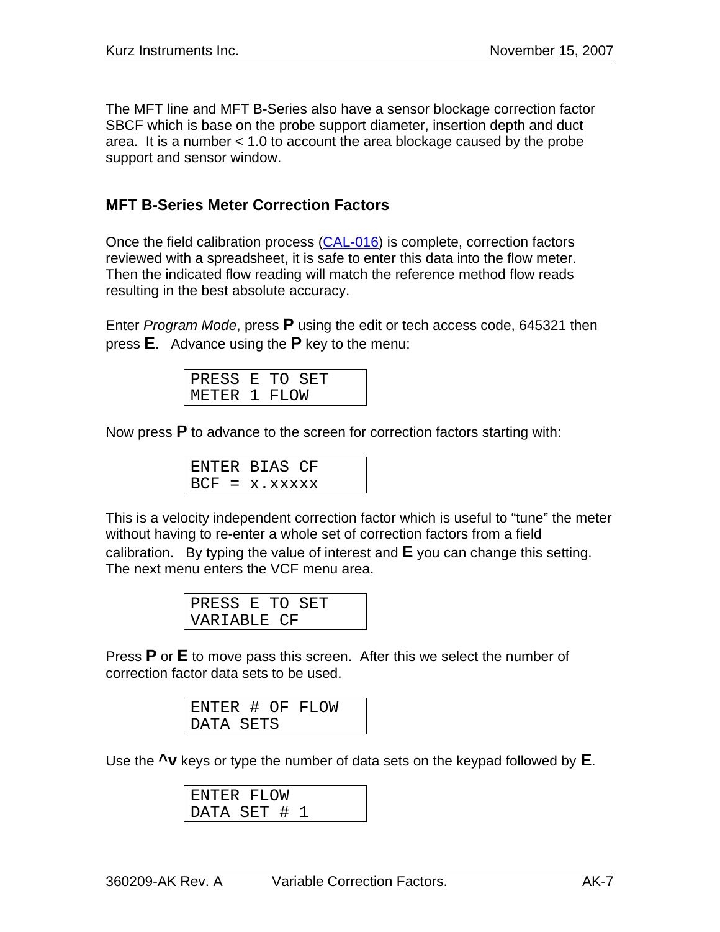The MFT line and MFT B-Series also have a sensor blockage correction factor SBCF which is base on the probe support diameter, insertion depth and duct area. It is a number < 1.0 to account the area blockage caused by the probe support and sensor window.

### **MFT B-Series Meter Correction Factors**

Once the field calibration process (CAL-016) is complete, correction factors reviewed with a spreadsheet, it is safe to enter this data into the flow meter. Then the indicated flow reading will match the reference method flow reads resulting in the best absolute accuracy.

Enter *Program Mode*, press **P** using the edit or tech access code, 645321 then press **E**. Advance using the **P** key to the menu:

|              | PRESS E TO SET |  |
|--------------|----------------|--|
| METER 1 FLOW |                |  |

Now press **P** to advance to the screen for correction factors starting with:

| ENTER BIAS CF   |
|-----------------|
| $BCF = x.xxxxx$ |

This is a velocity independent correction factor which is useful to "tune" the meter without having to re-enter a whole set of correction factors from a field calibration. By typing the value of interest and **E** you can change this setting. The next menu enters the VCF menu area.

| PRESS E TO SET |  |  |
|----------------|--|--|
| VARIABLE CF    |  |  |

Press **P** or **E** to move pass this screen. After this we select the number of correction factor data sets to be used.

| ENTER # OF FLOW |  |  |
|-----------------|--|--|
| DATA SETS       |  |  |

Use the **^v** keys or type the number of data sets on the keypad followed by **E**.

| ENTER FLOW |  |     |  |  |
|------------|--|-----|--|--|
| DATA SET   |  | - # |  |  |